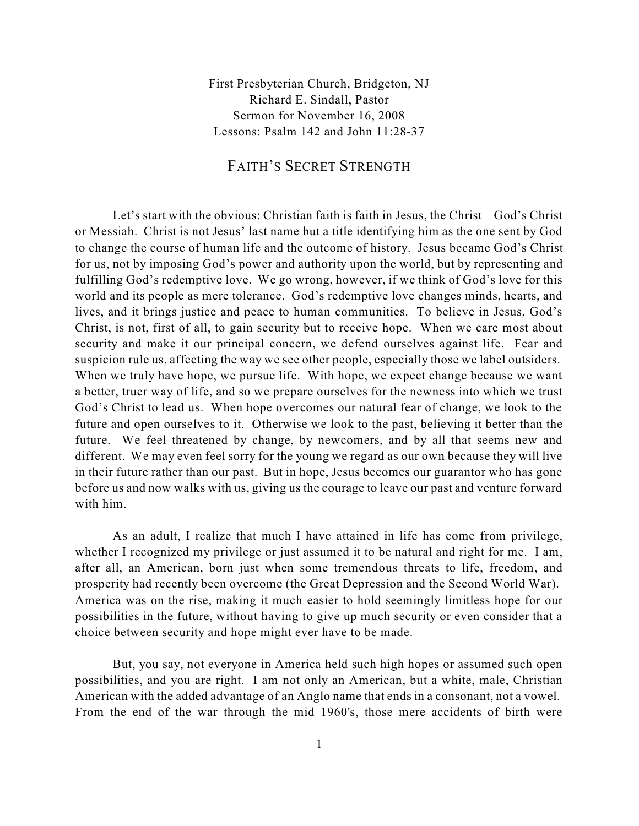First Presbyterian Church, Bridgeton, NJ Richard E. Sindall, Pastor Sermon for November 16, 2008 Lessons: Psalm 142 and John 11:28-37

## FAITH'S SECRET STRENGTH

Let's start with the obvious: Christian faith is faith in Jesus, the Christ – God's Christ or Messiah. Christ is not Jesus' last name but a title identifying him as the one sent by God to change the course of human life and the outcome of history. Jesus became God's Christ for us, not by imposing God's power and authority upon the world, but by representing and fulfilling God's redemptive love. We go wrong, however, if we think of God's love for this world and its people as mere tolerance. God's redemptive love changes minds, hearts, and lives, and it brings justice and peace to human communities. To believe in Jesus, God's Christ, is not, first of all, to gain security but to receive hope. When we care most about security and make it our principal concern, we defend ourselves against life. Fear and suspicion rule us, affecting the way we see other people, especially those we label outsiders. When we truly have hope, we pursue life. With hope, we expect change because we want a better, truer way of life, and so we prepare ourselves for the newness into which we trust God's Christ to lead us. When hope overcomes our natural fear of change, we look to the future and open ourselves to it. Otherwise we look to the past, believing it better than the future. We feel threatened by change, by newcomers, and by all that seems new and different. We may even feel sorry for the young we regard as our own because they will live in their future rather than our past. But in hope, Jesus becomes our guarantor who has gone before us and now walks with us, giving us the courage to leave our past and venture forward with him.

As an adult, I realize that much I have attained in life has come from privilege, whether I recognized my privilege or just assumed it to be natural and right for me. I am, after all, an American, born just when some tremendous threats to life, freedom, and prosperity had recently been overcome (the Great Depression and the Second World War). America was on the rise, making it much easier to hold seemingly limitless hope for our possibilities in the future, without having to give up much security or even consider that a choice between security and hope might ever have to be made.

But, you say, not everyone in America held such high hopes or assumed such open possibilities, and you are right. I am not only an American, but a white, male, Christian American with the added advantage of an Anglo name that ends in a consonant, not a vowel. From the end of the war through the mid 1960's, those mere accidents of birth were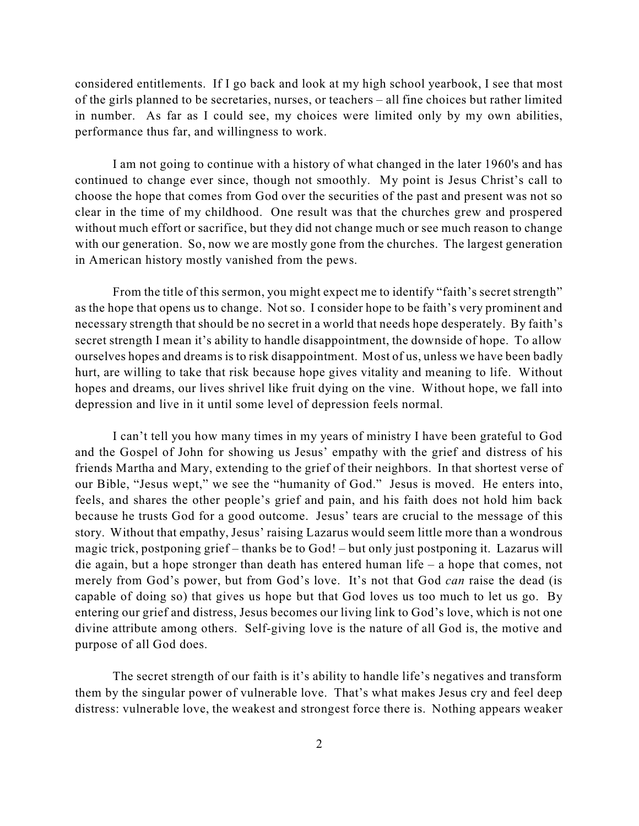considered entitlements. If I go back and look at my high school yearbook, I see that most of the girls planned to be secretaries, nurses, or teachers – all fine choices but rather limited in number. As far as I could see, my choices were limited only by my own abilities, performance thus far, and willingness to work.

I am not going to continue with a history of what changed in the later 1960's and has continued to change ever since, though not smoothly. My point is Jesus Christ's call to choose the hope that comes from God over the securities of the past and present was not so clear in the time of my childhood. One result was that the churches grew and prospered without much effort or sacrifice, but they did not change much or see much reason to change with our generation. So, now we are mostly gone from the churches. The largest generation in American history mostly vanished from the pews.

From the title of this sermon, you might expect me to identify "faith's secret strength" as the hope that opens us to change. Not so. I consider hope to be faith's very prominent and necessary strength that should be no secret in a world that needs hope desperately. By faith's secret strength I mean it's ability to handle disappointment, the downside of hope. To allow ourselves hopes and dreams is to risk disappointment. Most of us, unless we have been badly hurt, are willing to take that risk because hope gives vitality and meaning to life. Without hopes and dreams, our lives shrivel like fruit dying on the vine. Without hope, we fall into depression and live in it until some level of depression feels normal.

I can't tell you how many times in my years of ministry I have been grateful to God and the Gospel of John for showing us Jesus' empathy with the grief and distress of his friends Martha and Mary, extending to the grief of their neighbors. In that shortest verse of our Bible, "Jesus wept," we see the "humanity of God." Jesus is moved. He enters into, feels, and shares the other people's grief and pain, and his faith does not hold him back because he trusts God for a good outcome. Jesus' tears are crucial to the message of this story. Without that empathy, Jesus' raising Lazarus would seem little more than a wondrous magic trick, postponing grief – thanks be to God! – but only just postponing it. Lazarus will die again, but a hope stronger than death has entered human life – a hope that comes, not merely from God's power, but from God's love. It's not that God *can* raise the dead (is capable of doing so) that gives us hope but that God loves us too much to let us go. By entering our grief and distress, Jesus becomes our living link to God's love, which is not one divine attribute among others. Self-giving love is the nature of all God is, the motive and purpose of all God does.

The secret strength of our faith is it's ability to handle life's negatives and transform them by the singular power of vulnerable love. That's what makes Jesus cry and feel deep distress: vulnerable love, the weakest and strongest force there is. Nothing appears weaker